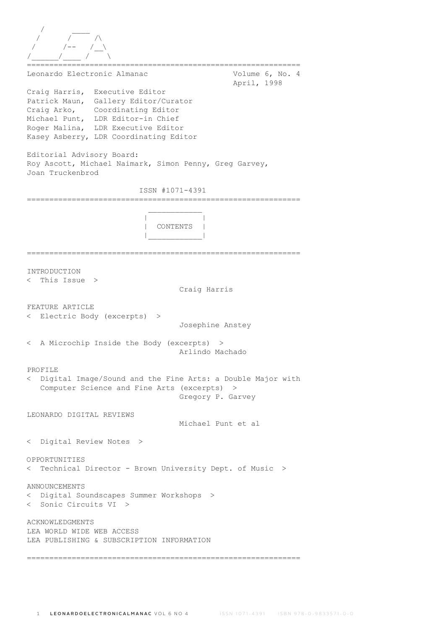/ \_\_\_\_ / / /\ / /-- /\_\_\ /\_\_\_\_\_\_/\_\_\_\_ / \ ============================================================= Leonardo Electronic Almanac Volume 6, No. 4 April, 1998 Craig Harris, Executive Editor Patrick Maun, Gallery Editor/Curator Craig Arko, Coordinating Editor Michael Punt, LDR Editor-in Chief Roger Malina, LDR Executive Editor Kasey Asberry, LDR Coordinating Editor Editorial Advisory Board: Roy Ascott, Michael Naimark, Simon Penny, Greg Garvey, Joan Truckenbrod ISSN #1071-4391 =============================================================  $\mathcal{L}_\text{max}$  and  $\mathcal{L}_\text{max}$  and  $\mathcal{L}_\text{max}$  and  $\mathcal{L}_\text{max}$  | | | CONTENTS | |\_\_\_\_\_\_\_\_\_\_\_\_| ============================================================= INTRODUCTION < This Issue > Craig Harris FEATURE ARTICLE < Electric Body (excerpts) > Josephine Anstey < A Microchip Inside the Body (excerpts) > Arlindo Machado PROFILE < Digital Image/Sound and the Fine Arts: a Double Major with Computer Science and Fine Arts (excerpts) > Gregory P. Garvey LEONARDO DIGITAL REVIEWS Michael Punt et al < Digital Review Notes > OPPORTUNITIES < Technical Director - Brown University Dept. of Music > ANNOUNCEMENTS < Digital Soundscapes Summer Workshops > < Sonic Circuits VI > ACKNOWLEDGMENTS LEA WORLD WIDE WEB ACCESS LEA PUBLISHING & SUBSCRIPTION INFORMATION =============================================================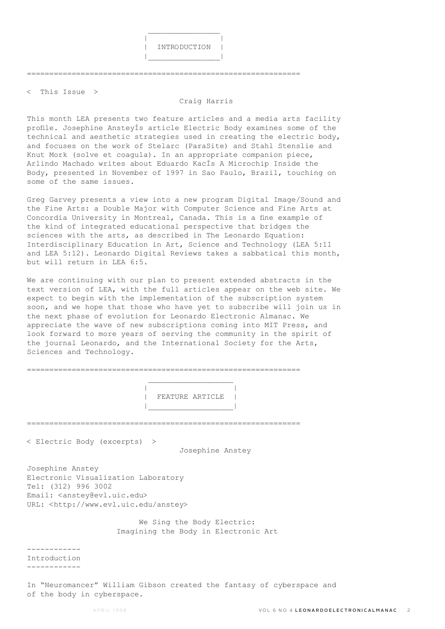

=============================================================

< This Issue >

## Craig Harris

This month LEA presents two feature articles and a media arts facility profile. Josephine AnsteyÍs article Electric Body examines some of the technical and aesthetic strategies used in creating the electric body, and focuses on the work of Stelarc (ParaSite) and Stahl Stenslie and Knut Mork (solve et coagula). In an appropriate companion piece, Arlindo Machado writes about Eduardo KacÍs A Microchip Inside the Body, presented in November of 1997 in Sao Paulo, Brazil, touching on some of the same issues.

Greg Garvey presents a view into a new program Digital Image/Sound and the Fine Arts: a Double Major with Computer Science and Fine Arts at Concordia University in Montreal, Canada. This is a fine example of the kind of integrated educational perspective that bridges the sciences with the arts, as described in The Leonardo Equation: Interdisciplinary Education in Art, Science and Technology (LEA 5:11 and LEA 5:12). Leonardo Digital Reviews takes a sabbatical this month, but will return in LEA 6:5.

We are continuing with our plan to present extended abstracts in the text version of LEA, with the full articles appear on the web site. We expect to begin with the implementation of the subscription system soon, and we hope that those who have yet to subscribe will join us in the next phase of evolution for Leonardo Electronic Almanac. We appreciate the wave of new subscriptions coming into MIT Press, and look forward to more years of serving the community in the spirit of the journal Leonardo, and the International Society for the Arts, Sciences and Technology.

|  | FEATURE ARTICLE |  |
|--|-----------------|--|

=============================================================

< Electric Body (excerpts) >

Josephine Anstey

Josephine Anstey Electronic Visualization Laboratory Tel: (312) 996 3002 Email: <anstey@evl.uic.edu> URL: <http://www.evl.uic.edu/anstey>

> We Sing the Body Electric: Imagining the Body in Electronic Art

------------

Introduction ------------

In "Neuromancer" William Gibson created the fantasy of cyberspace and of the body in cyberspace.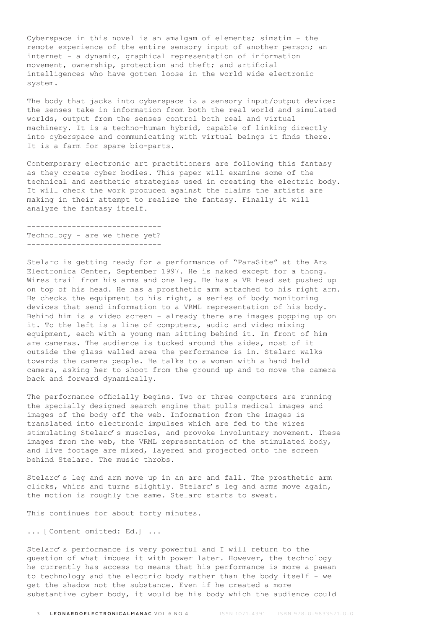Cyberspace in this novel is an amalgam of elements; simstim - the remote experience of the entire sensory input of another person; an internet - a dynamic, graphical representation of information movement, ownership, protection and theft; and artificial intelligences who have gotten loose in the world wide electronic system.

The body that jacks into cyberspace is a sensory input/output device: the senses take in information from both the real world and simulated worlds, output from the senses control both real and virtual machinery. It is a techno-human hybrid, capable of linking directly into cyberspace and communicating with virtual beings it finds there. It is a farm for spare bio-parts.

Contemporary electronic art practitioners are following this fantasy as they create cyber bodies. This paper will examine some of the technical and aesthetic strategies used in creating the electric body. It will check the work produced against the claims the artists are making in their attempt to realize the fantasy. Finally it will analyze the fantasy itself.

------------------------------ Technology - are we there yet? ------------------------------

Stelarc is getting ready for a performance of "ParaSite" at the Ars Electronica Center, September 1997. He is naked except for a thong. Wires trail from his arms and one leg. He has a VR head set pushed up on top of his head. He has a prosthetic arm attached to his right arm. He checks the equipment to his right, a series of body monitoring devices that send information to a VRML representation of his body. Behind him is a video screen - already there are images popping up on it. To the left is a line of computers, audio and video mixing equipment, each with a young man sitting behind it. In front of him are cameras. The audience is tucked around the sides, most of it outside the glass walled area the performance is in. Stelarc walks towards the camera people. He talks to a woman with a hand held camera, asking her to shoot from the ground up and to move the camera back and forward dynamically.

The performance officially begins. Two or three computers are running the specially designed search engine that pulls medical images and images of the body off the web. Information from the images is translated into electronic impulses which are fed to the wires stimulating Stelarc's muscles, and provoke involuntary movement. These images from the web, the VRML representation of the stimulated body, and live footage are mixed, layered and projected onto the screen behind Stelarc. The music throbs.

Stelarc's leg and arm move up in an arc and fall. The prosthetic arm clicks, whirs and turns slightly. Stelarc's leg and arms move again, the motion is roughly the same. Stelarc starts to sweat.

This continues for about forty minutes.

... [Content omitted: Ed.] ...

Stelarc's performance is very powerful and I will return to the question of what imbues it with power later. However, the technology he currently has access to means that his performance is more a paean to technology and the electric body rather than the body itself - we get the shadow not the substance. Even if he created a more substantive cyber body, it would be his body which the audience could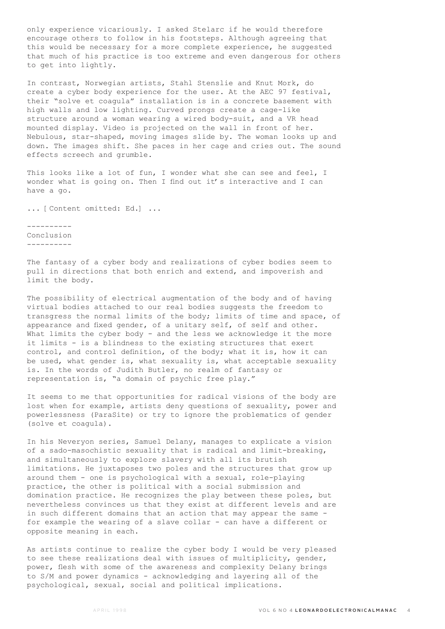only experience vicariously. I asked Stelarc if he would therefore encourage others to follow in his footsteps. Although agreeing that this would be necessary for a more complete experience, he suggested that much of his practice is too extreme and even dangerous for others to get into lightly.

In contrast, Norwegian artists, Stahl Stenslie and Knut Mork, do create a cyber body experience for the user. At the AEC 97 festival, their "solve et coagula" installation is in a concrete basement with high walls and low lighting. Curved prongs create a cage-like structure around a woman wearing a wired body-suit, and a VR head mounted display. Video is projected on the wall in front of her. Nebulous, star-shaped, moving images slide by. The woman looks up and down. The images shift. She paces in her cage and cries out. The sound effects screech and grumble.

This looks like a lot of fun, I wonder what she can see and feel, I wonder what is going on. Then I find out it's interactive and I can have a go.

... [Content omitted: Ed.] ...

---------- Conclusion ----------

The fantasy of a cyber body and realizations of cyber bodies seem to pull in directions that both enrich and extend, and impoverish and limit the body.

The possibility of electrical augmentation of the body and of having virtual bodies attached to our real bodies suggests the freedom to transgress the normal limits of the body; limits of time and space, of appearance and fixed gender, of a unitary self, of self and other. What limits the cyber body - and the less we acknowledge it the more it limits - is a blindness to the existing structures that exert control, and control definition, of the body; what it is, how it can be used, what gender is, what sexuality is, what acceptable sexuality is. In the words of Judith Butler, no realm of fantasy or representation is, "a domain of psychic free play."

It seems to me that opportunities for radical visions of the body are lost when for example, artists deny questions of sexuality, power and powerlessness (ParaSite) or try to ignore the problematics of gender (solve et coagula).

In his Neveryon series, Samuel Delany, manages to explicate a vision of a sado-masochistic sexuality that is radical and limit-breaking, and simultaneously to explore slavery with all its brutish limitations. He juxtaposes two poles and the structures that grow up around them - one is psychological with a sexual, role-playing practice, the other is political with a social submission and domination practice. He recognizes the play between these poles, but nevertheless convinces us that they exist at different levels and are in such different domains that an action that may appear the same for example the wearing of a slave collar - can have a different or opposite meaning in each.

As artists continue to realize the cyber body I would be very pleased to see these realizations deal with issues of multiplicity, gender, power, flesh with some of the awareness and complexity Delany brings to S/M and power dynamics - acknowledging and layering all of the psychological, sexual, social and political implications.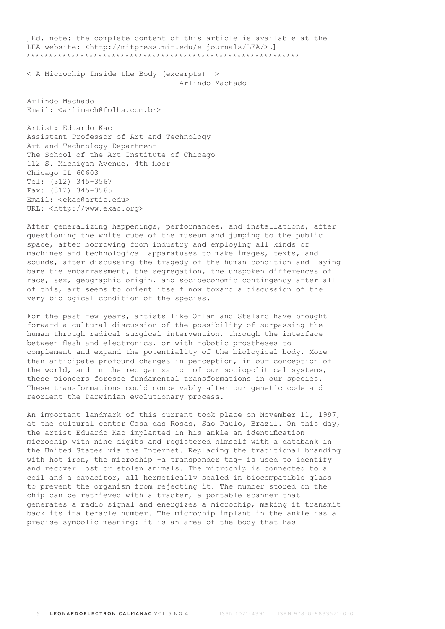[Ed. note: the complete content of this article is available at the LEA website: <http://mitpress.mit.edu/e-journals/LEA/>.] \*\*\*\*\*\*\*\*\*\*\*\*\*\*\*\*\*\*\*\*\*\*\*\*\*\*\*\*\*\*\*\*\*\*\*\*\*\*\*\*\*\*\*\*\*\*\*\*\*\*\*\*\*\*\*\*\*\*\*\*\*

< A Microchip Inside the Body (excerpts) > Arlindo Machado

Arlindo Machado Email: <arlimach@folha.com.br>

Artist: Eduardo Kac Assistant Professor of Art and Technology Art and Technology Department The School of the Art Institute of Chicago 112 S. Michigan Avenue, 4th floor Chicago IL 60603 Tel: (312) 345-3567 Fax: (312) 345-3565 Email: <ekac@artic.edu> URL: <http://www.ekac.org>

After generalizing happenings, performances, and installations, after questioning the white cube of the museum and jumping to the public space, after borrowing from industry and employing all kinds of machines and technological apparatuses to make images, texts, and sounds, after discussing the tragedy of the human condition and laying bare the embarrassment, the segregation, the unspoken differences of race, sex, geographic origin, and socioeconomic contingency after all of this, art seems to orient itself now toward a discussion of the very biological condition of the species.

For the past few years, artists like Orlan and Stelarc have brought forward a cultural discussion of the possibility of surpassing the human through radical surgical intervention, through the interface between flesh and electronics, or with robotic prostheses to complement and expand the potentiality of the biological body. More than anticipate profound changes in perception, in our conception of the world, and in the reorganization of our sociopolitical systems, these pioneers foresee fundamental transformations in our species. These transformations could conceivably alter our genetic code and reorient the Darwinian evolutionary process.

An important landmark of this current took place on November 11, 1997, at the cultural center Casa das Rosas, Sao Paulo, Brazil. On this day, the artist Eduardo Kac implanted in his ankle an identification microchip with nine digits and registered himself with a databank in the United States via the Internet. Replacing the traditional branding with hot iron, the microchip -a transponder tag- is used to identify and recover lost or stolen animals. The microchip is connected to a coil and a capacitor, all hermetically sealed in biocompatible glass to prevent the organism from rejecting it. The number stored on the chip can be retrieved with a tracker, a portable scanner that generates a radio signal and energizes a microchip, making it transmit back its inalterable number. The microchip implant in the ankle has a precise symbolic meaning: it is an area of the body that has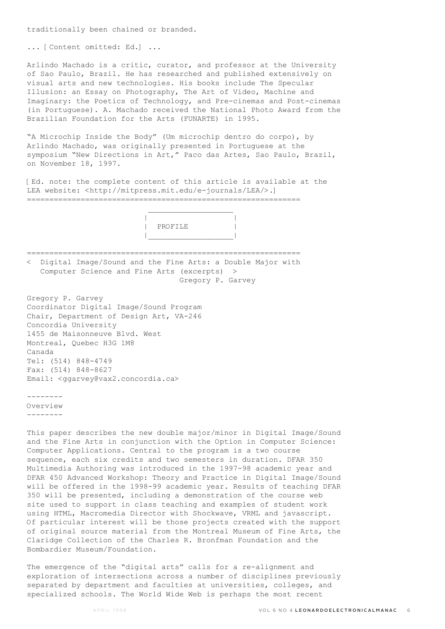traditionally been chained or branded.

... [Content omitted: Ed.] ...

Arlindo Machado is a critic, curator, and professor at the University of Sao Paulo, Brazil. He has researched and published extensively on visual arts and new technologies. His books include The Specular Illusion: an Essay on Photography, The Art of Video, Machine and Imaginary: the Poetics of Technology, and Pre-cinemas and Post-cinemas (in Portuguese). A. Machado received the National Photo Award from the Brazilian Foundation for the Arts (FUNARTE) in 1995.

"A Microchip Inside the Body" (Um microchip dentro do corpo), by Arlindo Machado, was originally presented in Portuguese at the symposium "New Directions in Art," Paco das Artes, Sao Paulo, Brazil, on November 18, 1997.

[Ed. note: the complete content of this article is available at the LEA website: <http://mitpress.mit.edu/e-journals/LEA/>.] =============================================================

 $\mathcal{L}_\text{max}$  and  $\mathcal{L}_\text{max}$  and  $\mathcal{L}_\text{max}$  and  $\mathcal{L}_\text{max}$  | | | PROFILE | |\_\_\_\_\_\_\_\_\_\_\_\_\_\_\_\_\_\_\_|

============================================================= < Digital Image/Sound and the Fine Arts: a Double Major with Computer Science and Fine Arts (excerpts) >

Gregory P. Garvey

Gregory P. Garvey Coordinator Digital Image/Sound Program Chair, Department of Design Art, VA-246 Concordia University 1455 de Maisonneuve Blvd. West Montreal, Quebec H3G 1M8 Canada Tel: (514) 848-4749 Fax: (514) 848-8627 Email: <ggarvey@vax2.concordia.ca>

-------- Overview --------

This paper describes the new double major/minor in Digital Image/Sound and the Fine Arts in conjunction with the Option in Computer Science: Computer Applications. Central to the program is a two course sequence, each six credits and two semesters in duration. DFAR 350 Multimedia Authoring was introduced in the 1997-98 academic year and DFAR 450 Advanced Workshop: Theory and Practice in Digital Image/Sound will be offered in the 1998-99 academic year. Results of teaching DFAR 350 will be presented, including a demonstration of the course web site used to support in class teaching and examples of student work using HTML, Macromedia Director with Shockwave, VRML and javascript. Of particular interest will be those projects created with the support of original source material from the Montreal Museum of Fine Arts, the Claridge Collection of the Charles R. Bronfman Foundation and the Bombardier Museum/Foundation.

The emergence of the "digital arts" calls for a re-alignment and exploration of intersections across a number of disciplines previously separated by department and faculties at universities, colleges, and specialized schools. The World Wide Web is perhaps the most recent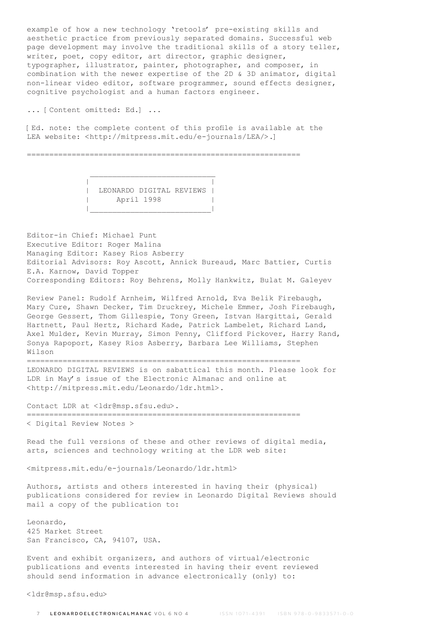example of how a new technology 'retools' pre-existing skills and aesthetic practice from previously separated domains. Successful web page development may involve the traditional skills of a story teller, writer, poet, copy editor, art director, graphic designer, typographer, illustrator, painter, photographer, and composer, in combination with the newer expertise of the 2D & 3D animator, digital non-linear video editor, software programmer, sound effects designer, cognitive psychologist and a human factors engineer.

... [Content omitted: Ed.] ...

[Ed. note: the complete content of this profile is available at the LEA website: <http://mitpress.mit.edu/e-journals/LEA/>.]

=============================================================

 | | | LEONARDO DIGITAL REVIEWS | | April 1998 | |\_\_\_\_\_\_\_\_\_\_\_\_\_\_\_\_\_\_\_\_\_\_\_\_\_\_\_|

 $\mathcal{L}_\text{max}$  and  $\mathcal{L}_\text{max}$  and  $\mathcal{L}_\text{max}$  and  $\mathcal{L}_\text{max}$ 

Editor-in Chief: Michael Punt Executive Editor: Roger Malina Managing Editor: Kasey Rios Asberry Editorial Advisors: Roy Ascott, Annick Bureaud, Marc Battier, Curtis E.A. Karnow, David Topper Corresponding Editors: Roy Behrens, Molly Hankwitz, Bulat M. Galeyev

Review Panel: Rudolf Arnheim, Wilfred Arnold, Eva Belik Firebaugh, Mary Cure, Shawn Decker, Tim Druckrey, Michele Emmer, Josh Firebaugh, George Gessert, Thom Gillespie, Tony Green, Istvan Hargittai, Gerald Hartnett, Paul Hertz, Richard Kade, Patrick Lambelet, Richard Land, Axel Mulder, Kevin Murray, Simon Penny, Clifford Pickover, Harry Rand, Sonya Rapoport, Kasey Rios Asberry, Barbara Lee Williams, Stephen Wilson

=============================================================

LEONARDO DIGITAL REVIEWS is on sabattical this month. Please look for LDR in May's issue of the Electronic Almanac and online at <http://mitpress.mit.edu/Leonardo/ldr.html>.

Contact LDR at <ldr@msp.sfsu.edu>.

=============================================================

< Digital Review Notes >

Read the full versions of these and other reviews of digital media, arts, sciences and technology writing at the LDR web site:

<mitpress.mit.edu/e-journals/Leonardo/ldr.html>

Authors, artists and others interested in having their (physical) publications considered for review in Leonardo Digital Reviews should mail a copy of the publication to:

Leonardo, 425 Market Street San Francisco, CA, 94107, USA.

Event and exhibit organizers, and authors of virtual/electronic publications and events interested in having their event reviewed should send information in advance electronically (only) to:

<ldr@msp.sfsu.edu>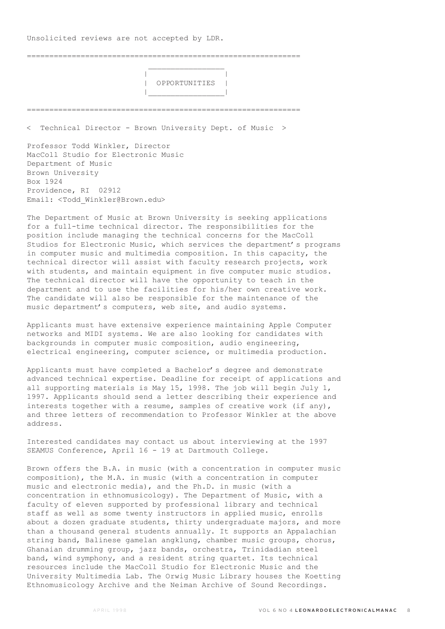Unsolicited reviews are not accepted by LDR.

 $\mathcal{L}_\mathcal{L}$  , which is a set of the set of the set of the set of the set of the set of the set of the set of the set of the set of the set of the set of the set of the set of the set of the set of the set of the set of

=============================================================

 | | | OPPORTUNITIES | |\_\_\_\_\_\_\_\_\_\_\_\_\_\_\_\_\_|

< Technical Director - Brown University Dept. of Music >

=============================================================

Professor Todd Winkler, Director MacColl Studio for Electronic Music Department of Music Brown University Box 1924 Providence, RI 02912 Email: <Todd\_Winkler@Brown.edu>

The Department of Music at Brown University is seeking applications for a full-time technical director. The responsibilities for the position include managing the technical concerns for the MacColl Studios for Electronic Music, which services the department's programs in computer music and multimedia composition. In this capacity, the technical director will assist with faculty research projects, work with students, and maintain equipment in five computer music studios. The technical director will have the opportunity to teach in the department and to use the facilities for his/her own creative work. The candidate will also be responsible for the maintenance of the music department's computers, web site, and audio systems.

Applicants must have extensive experience maintaining Apple Computer networks and MIDI systems. We are also looking for candidates with backgrounds in computer music composition, audio engineering, electrical engineering, computer science, or multimedia production.

Applicants must have completed a Bachelor's degree and demonstrate advanced technical expertise. Deadline for receipt of applications and all supporting materials is May 15, 1998. The job will begin July 1, 1997. Applicants should send a letter describing their experience and interests together with a resume, samples of creative work (if any), and three letters of recommendation to Professor Winkler at the above address.

Interested candidates may contact us about interviewing at the 1997 SEAMUS Conference, April 16 - 19 at Dartmouth College.

Brown offers the B.A. in music (with a concentration in computer music composition), the M.A. in music (with a concentration in computer music and electronic media), and the Ph.D. in music (with a concentration in ethnomusicology). The Department of Music, with a faculty of eleven supported by professional library and technical staff as well as some twenty instructors in applied music, enrolls about a dozen graduate students, thirty undergraduate majors, and more than a thousand general students annually. It supports an Appalachian string band, Balinese gamelan angklung, chamber music groups, chorus, Ghanaian drumming group, jazz bands, orchestra, Trinidadian steel band, wind symphony, and a resident string quartet. Its technical resources include the MacColl Studio for Electronic Music and the University Multimedia Lab. The Orwig Music Library houses the Koetting Ethnomusicology Archive and the Neiman Archive of Sound Recordings.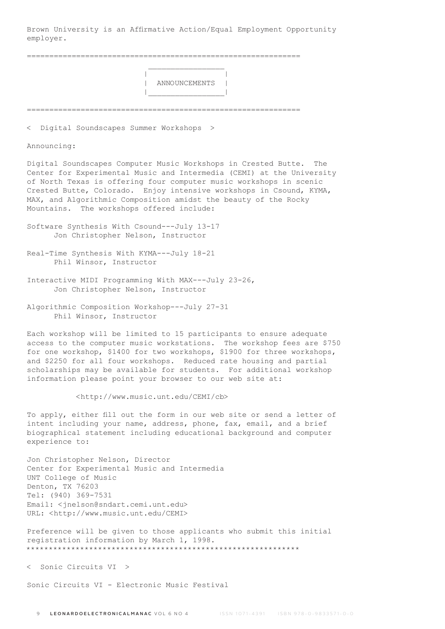Brown University is an Affirmative Action/Equal Employment Opportunity employer.

=============================================================

 | | | ANNOUNCEMENTS | |\_\_\_\_\_\_\_\_\_\_\_\_\_\_\_\_\_|

=============================================================

< Digital Soundscapes Summer Workshops >

 $\mathcal{L}_\mathcal{L}$  , which is a set of the set of the set of the set of the set of the set of the set of the set of the set of the set of the set of the set of the set of the set of the set of the set of the set of the set of

Announcing:

Digital Soundscapes Computer Music Workshops in Crested Butte. The Center for Experimental Music and Intermedia (CEMI) at the University of North Texas is offering four computer music workshops in scenic Crested Butte, Colorado. Enjoy intensive workshops in Csound, KYMA, MAX, and Algorithmic Composition amidst the beauty of the Rocky Mountains. The workshops offered include:

- Software Synthesis With Csound---July 13-17 Jon Christopher Nelson, Instructor
- Real-Time Synthesis With KYMA---July 18-21 Phil Winsor, Instructor
- Interactive MIDI Programming With MAX---July 23-26, Jon Christopher Nelson, Instructor
- Algorithmic Composition Workshop---July 27-31 Phil Winsor, Instructor

Each workshop will be limited to 15 participants to ensure adequate access to the computer music workstations. The workshop fees are \$750 for one workshop, \$1400 for two workshops, \$1900 for three workshops, and \$2250 for all four workshops. Reduced rate housing and partial scholarships may be available for students. For additional workshop information please point your browser to our web site at:

<http://www.music.unt.edu/CEMI/cb>

To apply, either fill out the form in our web site or send a letter of intent including your name, address, phone, fax, email, and a brief biographical statement including educational background and computer experience to:

Jon Christopher Nelson, Director Center for Experimental Music and Intermedia UNT College of Music Denton, TX 76203 Tel: (940) 369-7531 Email: <jnelson@sndart.cemi.unt.edu> URL: <http://www.music.unt.edu/CEMI>

Preference will be given to those applicants who submit this initial registration information by March 1, 1998. \*\*\*\*\*\*\*\*\*\*\*\*\*\*\*\*\*\*\*\*\*\*\*\*\*\*\*\*\*\*\*\*\*\*\*\*\*\*\*\*\*\*\*\*\*\*\*\*\*\*\*\*\*\*\*\*\*\*\*\*\*

< Sonic Circuits VI >

Sonic Circuits VI - Electronic Music Festival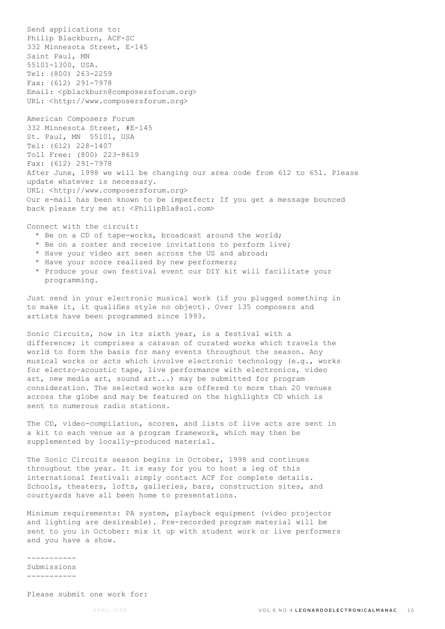Send applications to: Philip Blackburn, ACF-SC 332 Minnesota Street, E-145 Saint Paul, MN 55101-1300, USA. Tel: (800) 263-2259 Fax: (612) 291-7978 Email: <pblackburn@composersforum.org> URL: <http://www.composersforum.org>

American Composers Forum 332 Minnesota Street, #E-145 St. Paul, MN 55101, USA Tel: (612) 228-1407 Toll Free: (800) 223-8619 Fax: (612) 291-7978 After June, 1998 we will be changing our area code from 612 to 651. Please update whatever is necessary. URL: <http://www.composersforum.org> Our e-mail has been known to be imperfect; If you get a message bounced back please try me at: <PhilipBla@aol.com>

## Connect with the circuit:

- \* Be on a CD of tape-works, broadcast around the world;
- \* Be on a roster and receive invitations to perform live;
- \* Have your video art seen across the US and abroad;
- \* Have your score realized by new performers;
- \* Produce your own festival event our DIY kit will facilitate your programming.

Just send in your electronic musical work (if you plugged something in to make it, it qualifies style no object). Over 135 composers and artists have been programmed since 1993.

Sonic Circuits, now in its sixth year, is a festival with a difference; it comprises a caravan of curated works which travels the world to form the basis for many events throughout the season. Any musical works or acts which involve electronic technology (e.g., works for electro-acoustic tape, live performance with electronics, video art, new media art, sound art...) may be submitted for program consideration. The selected works are offered to more than 20 venues across the globe and may be featured on the highlights CD which is sent to numerous radio stations.

The CD, video-compilation, scores, and lists of live acts are sent in a kit to each venue as a program framework, which may then be supplemented by locally-produced material.

The Sonic Circuits season begins in October, 1998 and continues throughout the year. It is easy for you to host a leg of this international festival: simply contact ACF for complete details. Schools, theaters, lofts, galleries, bars, construction sites, and courtyards have all been home to presentations.

Minimum requirements: PA system, playback equipment (video projector and lighting are desireable). Pre-recorded program material will be sent to you in October: mix it up with student work or live performers and you have a show.

----------- Submissions -----------

Please submit one work for: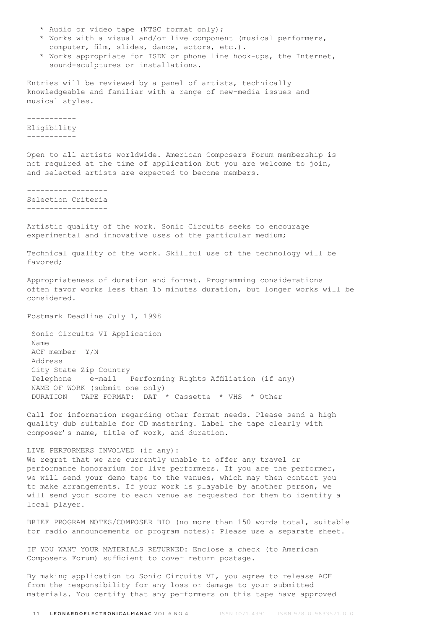- \* Audio or video tape (NTSC format only);
- \* Works with a visual and/or live component (musical performers, computer, film, slides, dance, actors, etc.).
- \* Works appropriate for ISDN or phone line hook-ups, the Internet, sound-sculptures or installations.

Entries will be reviewed by a panel of artists, technically knowledgeable and familiar with a range of new-media issues and musical styles.

----------- Eligibility -----------

Open to all artists worldwide. American Composers Forum membership is not required at the time of application but you are welcome to join, and selected artists are expected to become members.

------------------ Selection Criteria ------------------

Artistic quality of the work. Sonic Circuits seeks to encourage experimental and innovative uses of the particular medium;

Technical quality of the work. Skillful use of the technology will be favored;

Appropriateness of duration and format. Programming considerations often favor works less than 15 minutes duration, but longer works will be considered.

Postmark Deadline July 1, 1998

 Sonic Circuits VI Application Name ACF member Y/N Address City State Zip Country Telephone e-mail Performing Rights Affiliation (if any) NAME OF WORK (submit one only) DURATION TAPE FORMAT: DAT \* Cassette \* VHS \* Other

Call for information regarding other format needs. Please send a high quality dub suitable for CD mastering. Label the tape clearly with composer's name, title of work, and duration.

LIVE PERFORMERS INVOLVED (if any): We regret that we are currently unable to offer any travel or performance honorarium for live performers. If you are the performer, we will send your demo tape to the venues, which may then contact you to make arrangements. If your work is playable by another person, we will send your score to each venue as requested for them to identify a local player.

BRIEF PROGRAM NOTES/COMPOSER BIO (no more than 150 words total, suitable for radio announcements or program notes): Please use a separate sheet.

IF YOU WANT YOUR MATERIALS RETURNED: Enclose a check (to American Composers Forum) sufficient to cover return postage.

By making application to Sonic Circuits VI, you agree to release ACF from the responsibility for any loss or damage to your submitted materials. You certify that any performers on this tape have approved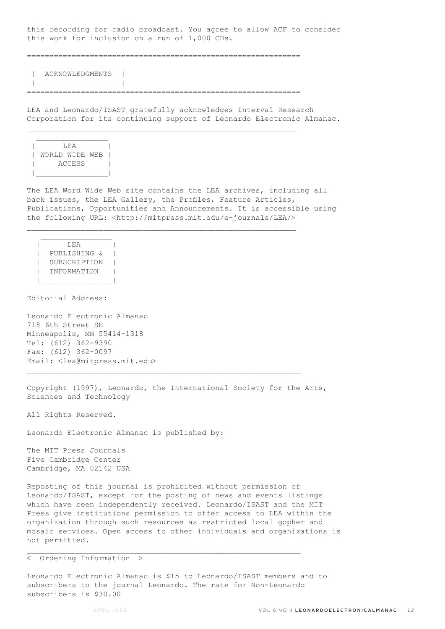this recording for radio broadcast. You agree to allow ACF to consider this work for inclusion on a run of 1,000 CDs.

=============================================================

 | ACKNOWLEDGMENTS | |\_\_\_\_\_\_\_\_\_\_\_\_\_\_\_\_\_\_\_|

 $\mathcal{L}=\frac{1}{2}$  , where  $\mathcal{L}=\frac{1}{2}$  , where  $\mathcal{L}=\frac{1}{2}$ 

=============================================================

 $\mathcal{L}_\text{max}$ 

 $\mathcal{L}_\text{max}$ 

LEA and Leonardo/ISAST gratefully acknowledges Interval Research Corporation for its continuing support of Leonardo Electronic Almanac.



The LEA Word Wide Web site contains the LEA archives, including all back issues, the LEA Gallery, the Profiles, Feature Articles, Publications, Opportunities and Announcements. It is accessible using the following URL: <http://mitpress.mit.edu/e-journals/LEA/>

```
\overline{\phantom{a}} \overline{\phantom{a}} \overline{\phantom{a}} \overline{\phantom{a}} \overline{\phantom{a}} \overline{\phantom{a}} \overline{\phantom{a}} \overline{\phantom{a}} \overline{\phantom{a}} \overline{\phantom{a}} \overline{\phantom{a}} \overline{\phantom{a}} \overline{\phantom{a}} \overline{\phantom{a}} \overline{\phantom{a}} \overline{\phantom{a}} \overline{\phantom{a}} \overline{\phantom{a}} \overline{\ | PUBLISHING & |
          | SUBSCRIPTION |
          | INFORMATION |
|________________|
```
 $\mathcal{L}_\text{max}$ 

Editorial Address:

Leonardo Electronic Almanac 718 6th Street SE Minneapolis, MN 55414-1318 Tel: (612) 362-9390 Fax: (612) 362-0097 Email: <lea@mitpress.mit.edu>

Copyright (1997), Leonardo, the International Society for the Arts, Sciences and Technology

 $\mathcal{L}_\text{max}$ 

All Rights Reserved.

Leonardo Electronic Almanac is published by:

The MIT Press Journals Five Cambridge Center Cambridge, MA 02142 USA

Reposting of this journal is prohibited without permission of Leonardo/ISAST, except for the posting of news and events listings which have been independently received. Leonardo/ISAST and the MIT Press give institutions permission to offer access to LEA within the organization through such resources as restricted local gopher and mosaic services. Open access to other individuals and organizations is not permitted.

< Ordering Information >

Leonardo Electronic Almanac is \$15 to Leonardo/ISAST members and to subscribers to the journal Leonardo. The rate for Non-Leonardo subscribers is \$30.00